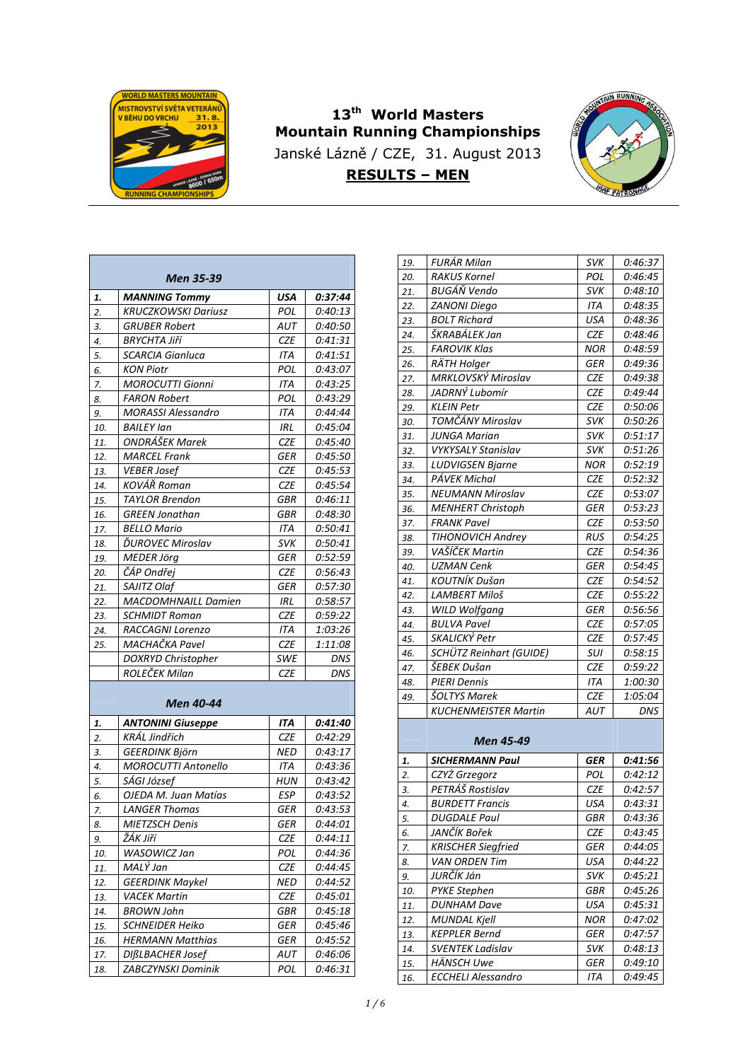

## **13th World Masters Mountain Running Championships**  Janské Lázně / CZE, 31. August 2013 **RESULTS – MEN**



|     | Men 35-39                  |            |         |
|-----|----------------------------|------------|---------|
| 1.  | <b>MANNING Tommy</b>       | USA        | 0:37:44 |
| 2.  | <b>KRUCZKOWSKI Dariusz</b> | POL        | 0:40:13 |
| 3.  | <b>GRUBER Robert</b>       | AUT        | 0:40:50 |
| 4.  | BRYCHTA Jiří               | CZE        | 0:41:31 |
| 5.  | <b>SCARCIA Gianluca</b>    | ITA        | 0:41:51 |
| 6.  | <b>KON Piotr</b>           | POL        | 0:43:07 |
| 7.  | <b>MOROCUTTI Gionni</b>    | ITA        | 0:43:25 |
| 8.  | <b>FARON Robert</b>        | POL        | 0:43:29 |
| 9.  | <b>MORASSI Alessandro</b>  | ITA        | 0:44:44 |
| 10. | <b>BAILEY lan</b>          | <b>IRL</b> | 0:45:04 |
| 11. | ONDRÁŠEK Marek             | CZE        | 0:45:40 |
| 12. | <b>MARCEL Frank</b>        | GER        | 0:45:50 |
| 13. | <b>VEBER Josef</b>         | CZE        | 0:45:53 |
| 14. | KOVÁŘ Roman                | CZE        | 0:45:54 |
| 15. | <b>TAYLOR Brendon</b>      | GBR        | 0:46:11 |
| 16. | <b>GREEN Jonathan</b>      | GBR        | 0:48:30 |
| 17. | <b>BELLO Mario</b>         | ITA        | 0:50:41 |
| 18. | ĎUROVEC Miroslav           | svĸ        | 0:50:41 |
| 19. | <b>MEDER Jörg</b>          | GER        | 0:52:59 |
| 20. | ČÁP Ondřej                 | CZE        | 0:56:43 |
| 21. | SAJITZ Olaf                | GER        | 0:57:30 |
| 22. | <b>MACDOMHNAILL Damien</b> | IRL        | 0:58:57 |
| 23. | <b>SCHMIDT Roman</b>       | <b>CZE</b> | 0:59:22 |
| 24. | RACCAGNI Lorenzo           | ITA        | 1:03:26 |
| 25. | MACHAČKA Pavel             | CZE        | 1:11:08 |
|     | <b>DOXRYD Christopher</b>  | SWE        | DNS     |
|     | ROLEČEK Milan              | CZE        | DNS     |
|     | Men 40-44                  |            |         |
| 1.  | <b>ANTONINI Giuseppe</b>   | ITA        | 0:41:40 |
| 2.  | <b>KRÁL Jindřich</b>       | <b>CZE</b> | 0:42:29 |
| 3.  | <b>GEERDINK Björn</b>      | NED        | 0:43:17 |
| 4.  | <b>MOROCUTTI Antonello</b> | ITA        | 0:43:36 |
| 5.  | SÁGI József                | HUN        | 0:43:42 |
| 6.  | OJEDA M. Juan Matías       | ESP        | 0:43:52 |
| 7.  | <b>LANGER Thomas</b>       | GER        | 0:43:53 |
| 8.  | MIETZSCH Denis             | <b>GER</b> | 0:44:01 |
| 9.  | ŽÁK Jiří                   | CZE        | 0:44:11 |
| 10. | WASOWICZ Jan               | POL        | 0:44:36 |
| 11. | MALÝ Jan                   | CZE        | 0:44:45 |
| 12. | <b>GEERDINK Maykel</b>     | NED        | 0:44:52 |
| 13. | <b>VACEK Martin</b>        | CZE        | 0:45:01 |
| 14. | <b>BROWN John</b>          | GBR        | 0:45:18 |
| 15. | <b>SCHNEIDER Heiko</b>     | GER        | 0:45:46 |

*16. HERMANN Matthias GER 0:45:52 17. DIßLBACHER Josef AUT 0:46:06 18. ZABCZYNSKI Dominik POL 0:46:31*

| 19. | FURÁR Milan               | <i><b>SVK</b></i> | 0:46:37 |
|-----|---------------------------|-------------------|---------|
| 20. | <b>RAKUS Kornel</b>       | POL               | 0:46:45 |
| 21. | <b>BUGÁŇ Vendo</b>        | svĸ               | 0:48:10 |
| 22. | <b>ZANONI Diego</b>       | ITA               | 0:48:35 |
| 23. | <b>BOLT Richard</b>       | USA               | 0:48:36 |
| 24. | ŠKRABÁLEK Jan             | CZE               | 0:48:46 |
| 25. | <b>FAROVIK Klas</b>       | NOR               | 0:48:59 |
| 26. | RÄTH Holger               | <b>GER</b>        | 0:49:36 |
| 27. | MRKLOVSKÝ Miroslav        | CZE               | 0:49:38 |
| 28. | JADRNÝ Lubomír            | <b>CZE</b>        | 0:49:44 |
| 29. | <b>KLEIN Petr</b>         | <b>CZE</b>        | 0:50:06 |
| 30. | TOMČÁNY Miroslav          | <b>SVK</b>        | 0:50:26 |
| 31. | <b>JUNGA Marian</b>       | <b>SVK</b>        | 0:51:17 |
| 32. | VYKYSALY Stanislav        | svk               | 0:51:26 |
| 33. | <b>LUDVIGSEN Bjarne</b>   | NOR               | 0:52:19 |
| 34. | PÁVEK Michal              | CZE               | 0:52:32 |
| 35. | <b>NEUMANN Miroslav</b>   | CZE               | 0:53:07 |
| 36. | <b>MENHERT Christoph</b>  | GER               | 0:53:23 |
| 37. | <b>FRANK Pavel</b>        | CZE               | 0:53:50 |
| 38. | TIHONOVICH Andrey         | RUS               | 0:54:25 |
| 39. | VAŠÍČEK Martin            | CZE               | 0:54:36 |
| 40. | <b>UZMAN Cenk</b>         | GER               | 0:54:45 |
| 41. | KOUTNÍK Dušan             | <b>CZE</b>        | 0:54:52 |
| 42. | LAMBERT Miloš             | <b>CZE</b>        | 0:55:22 |
| 43. | <b>WILD Wolfgang</b>      | GER               | 0:56:56 |
| 44. | <b>BULVA Pavel</b>        | <b>CZE</b>        | 0:57:05 |
| 45. | SKALICKÝ Petr             | CZE               | 0:57:45 |
| 46. | SCHÜTZ Reinhart (GUIDE)   | SUI               | 0:58:15 |
| 47. | ŠEBEK Dušan               | <b>CZE</b>        | 0:59:22 |
| 48. | <b>PIERI Dennis</b>       | ITA               | 1:00:30 |
| 49. | ŠOLTYS Marek              | CZE               | 1:05:04 |
|     | KUCHENMEISTER Martin      | AUT               | DNS     |
|     | Men 45-49                 |                   |         |
| 1.  | <b>SICHERMANN Paul</b>    | GER               | 0:41:56 |
| 2.  | CZYŻ Grzegorz             | POL               | 0:42:12 |
| 3.  | PETRÁŠ Rostislav          | <b>CZE</b>        | 0:42:57 |
| 4.  | <b>BURDETT Francis</b>    | <b>USA</b>        | 0:43:31 |
| 5.  | <b>DUGDALE Paul</b>       | <b>GBR</b>        | 0:43:36 |
| 6.  | JANČÍK Bořek              | CZE               | 0:43:45 |
| 7.  | <b>KRISCHER Siegfried</b> | GER               | 0:44:05 |
| 8.  | <b>VAN ORDEN Tim</b>      | USA               | 0:44:22 |
| 9.  | JURČÍK Ján                | <b>SVK</b>        | 0:45:21 |
| 10. | <b>PYKE Stephen</b>       | GBR               | 0:45:26 |
| 11. | DUNHAM Dave               | USA               | 0:45:31 |
| 12. | MUNDAL Kjell              | NOR               | 0:47:02 |
| 13. | <b>KEPPLER Bernd</b>      | <b>GER</b>        | 0:47:57 |

14. **SVENTEK Ladislav** SVK 0:48:13 *15. HÄNSCH Uwe GER 0:49:10 16. ECCHELI Alessandro ITA 0:49:45*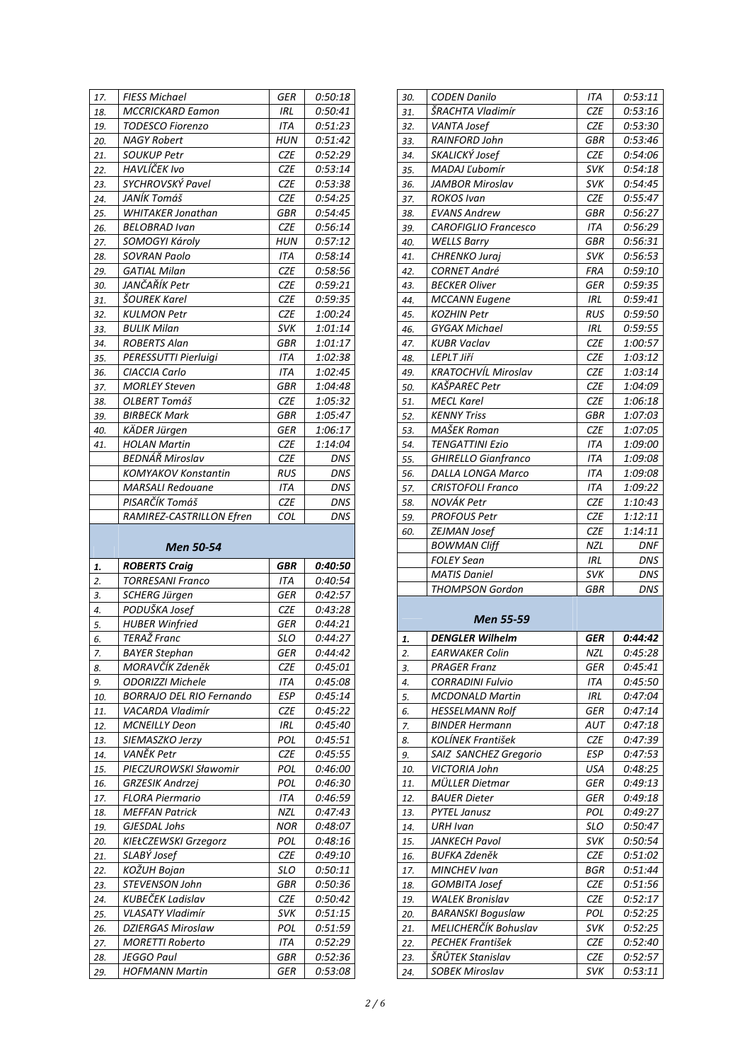| 17.        | FIESS Michael                                       | GER        | 0:50:18               |
|------------|-----------------------------------------------------|------------|-----------------------|
| 18.        | <b>MCCRICKARD Eamon</b>                             | <b>IRL</b> | 0:50:41               |
| 19.        | <b>TODESCO Fiorenzo</b>                             | ITA        | 0:51:23               |
| 20.        | <b>NAGY Robert</b>                                  | <b>HUN</b> | 0:51:42               |
| 21.        | <b>SOUKUP Petr</b>                                  | CZE        | 0:52:29               |
| 22.        | HAVLÍČEK Ivo                                        | <b>CZE</b> | 0:53:14               |
| 23.        | SYCHROVSKÝ Pavel                                    | CZE        | 0:53:38               |
| 24.        | JANÍK Tomáš                                         | <b>CZE</b> | 0:54:25               |
| 25.        | <b>WHITAKER Jonathan</b>                            | GBR        | 0:54:45               |
| 26.        | <b>BELOBRAD Ivan</b>                                | <b>CZE</b> | 0:56:14               |
| 27.        | SOMOGYI Károly                                      | HUN        | 0:57:12               |
| 28.        | <b>SOVRAN Paolo</b>                                 | ITA        | 0:58:14               |
| 29.        | <b>GATIAL Milan</b>                                 | <b>CZE</b> | 0:58:56               |
| 30.        | JANČAŘÍK Petr                                       | CZE        | 0:59:21               |
|            | <b>ŠOUREK Karel</b>                                 | <b>CZE</b> | 0:59:35               |
| 31.<br>32. | <b>KULMON Petr</b>                                  | <b>CZE</b> | 1:00:24               |
|            | <b>BULIK Milan</b>                                  |            |                       |
| 33.        |                                                     | <b>SVK</b> | 1:01:14               |
| 34.        | <b>ROBERTS Alan</b>                                 | GBR        | 1:01:17               |
| 35.        | PERESSUTTI Pierluigi                                | ITA        | 1:02:38               |
| 36.        | CIACCIA Carlo                                       | ITA        | 1:02:45               |
| 37.        | <b>MORLEY Steven</b>                                | GBR        | 1:04:48               |
| 38.        | <b>OLBERT Tomáš</b>                                 | <b>CZE</b> | 1:05:32               |
| 39.        | <b>BIRBECK Mark</b>                                 | GBR        | 1:05:47               |
| 40.        | <b>KÄDER Jürgen</b>                                 | GER        | 1:06:17               |
| 41.        | <b>HOLAN Martin</b>                                 | <b>CZE</b> | 1:14:04               |
|            | BEDNÁŘ Miroslav                                     | <b>CZE</b> | <b>DNS</b>            |
|            | <b>KOMYAKOV Konstantin</b>                          | RUS        | <b>DNS</b>            |
|            | <b>MARSALI Redouane</b>                             | ITA        | <b>DNS</b>            |
|            | PISARČÍK Tomáš                                      | <b>CZE</b> | DNS                   |
|            |                                                     |            |                       |
|            | RAMIREZ-CASTRILLON Efren                            | COL        | <b>DNS</b>            |
|            | Men 50-54                                           |            |                       |
| 1.         | <b>ROBERTS Craig</b>                                | GBR        | <i><b>0:40:50</b></i> |
| 2.         | <b>TORRESANI Franco</b>                             | ITA        | 0:40:54               |
| 3.         | <b>SCHERG Jürgen</b>                                | GER        | 0:42:57               |
| 4.         | PODUŠKA Josef                                       | CZE        | 0:43:28               |
| 5.         | <b>HUBER Winfried</b>                               | GER        | 0:44:21               |
| 6.         | TERAŽ Franc                                         | SLO        | 0:44:27               |
| 7.         | <b>BAYER Stephan</b>                                | GER        | 0:44:42               |
| 8.         |                                                     | <b>CZE</b> | 0:45:01               |
| 9.         | MORAVČÍK Zdeněk<br><b>ODORIZZI Michele</b>          | ITA        | 0:45:08               |
| 10.        |                                                     | <b>ESP</b> | 0:45:14               |
| 11.        | <b>BORRAJO DEL RIO Fernando</b><br>VACARDA Vladimír |            |                       |
|            |                                                     | CZE        | 0:45:22               |
| 12.        | <b>MCNEILLY Deon</b>                                | IRL        | 0:45:40               |
| 13.        | SIEMASZKO Jerzy                                     | POL        | 0:45:51               |
| 14.        | VANĚK Petr                                          | <b>CZE</b> | 0:45:55               |
| 15.        | PIECZUROWSKI Sławomir                               | POL        | 0:46:00               |
| 16.        | <b>GRZESIK Andrzej</b>                              | POL        | 0:46:30               |
| 17.        | <b>FLORA Piermario</b>                              | <b>ITA</b> | 0:46:59               |
| 18.        | <b>MEFFAN Patrick</b>                               | <b>NZL</b> | 0:47:43               |
| 19.        | GJESDAL Johs                                        | <b>NOR</b> | 0:48:07               |
| 20.        | KIEŁCZEWSKI Grzegorz                                | POL        | 0:48:16               |
| 21.        | SLABÝ Josef                                         | CZE        | 0:49:10               |
| 22.        | KOŽUH Bojan                                         | SLO        | 0:50:11               |
| 23.        | STEVENSON John                                      | <b>GBR</b> | 0:50:36               |
| 24.        | KUBEČEK Ladislav                                    | CZE        | 0:50:42               |
| 25.        | <b>VLASATY Vladimír</b>                             | <b>SVK</b> | 0:51:15               |
| 26.        | <b>DZIERGAS Miroslaw</b>                            | POL        | 0:51:59               |
| 27.        | <b>MORETTI Roberto</b><br><b>JEGGO Paul</b>         | ITA        | 0:52:29               |

*29. HOFMANN Martin GER 0:53:08*

| 30. | CODEN Danilo                | ITA        | 0:53:11 |
|-----|-----------------------------|------------|---------|
| 31. | ŠRACHTA Vladimír            | <b>CZE</b> | 0:53:16 |
| 32. | <b>VANTA Josef</b>          | CZE        | 0:53:30 |
| 33. | RAINFORD John               | GBR        | 0:53:46 |
| 34. | SKALICKÝ Josef              | <b>CZE</b> | 0:54:06 |
| 35. | MADAJ Ľubomír               | svĸ        | 0:54:18 |
| 36. | JAMBOR Miroslav             | <b>SVK</b> | 0:54:45 |
| 37. | <b>ROKOS Ivan</b>           | CZE        | 0:55:47 |
| 38. | <b>EVANS Andrew</b>         | GBR        | 0:56:27 |
| 39. | <b>CAROFIGLIO Francesco</b> | ITA        | 0:56:29 |
| 40. | <b>WELLS Barry</b>          | GBR        | 0:56:31 |
| 41. | CHRENKO Juraj               | svĸ        | 0:56:53 |
| 42. | CORNET André                | FRA        | 0:59:10 |
| 43. | <b>BECKER Oliver</b>        | GER        | 0:59:35 |
| 44. | <b>MCCANN Eugene</b>        | IRL        | 0:59:41 |
| 45. | KOZHIN Petr                 | RUS        | 0:59:50 |
| 46. | <b>GYGAX Michael</b>        | IRL        | 0:59:55 |
| 47. | KUBR Vaclav                 | CZE        | 1:00:57 |
| 48. | <b>LEPLT Jiří</b>           | CZE        | 1:03:12 |
| 49. | KRATOCHVÍL Miroslav         | CZE        | 1:03:14 |
| 50. | KAŠPAREC Petr               | CZE        | 1:04:09 |
| 51. | MECL Karel                  | CZE        | 1:06:18 |
| 52. | <b>KENNY Triss</b>          | GBR        | 1:07:03 |
| 53. | MAŠEK Roman                 | CZE        | 1:07:05 |
| 54. | <b>TENGATTINI Ezio</b>      | ITA        | 1:09:00 |
| 55. | <b>GHIRELLO Gianfranco</b>  | ITA        | 1:09:08 |
| 56. | <b>DALLA LONGA Marco</b>    | ITA        | 1:09:08 |
| 57. | <b>CRISTOFOLI Franco</b>    | ITA        | 1:09:22 |
| 58. | NOVÁK Petr                  | CZE        | 1:10:43 |
| 59. | <b>PROFOUS Petr</b>         | CZE        | 1:12:11 |
| 60. | ZEJMAN Josef                | CZE        | 1:14:11 |
|     | <b>BOWMAN Cliff</b>         | <b>NZL</b> | DNF     |
|     | <b>FOLEY Sean</b>           | IRL        | DNS     |
|     | MATIS Daniel                | svĸ        | DNS     |
|     | THOMPSON Gordon             | GBR        | DNS     |
|     | Men 55-59                   |            |         |
| 1.  | <b>DENGLER Wilhelm</b>      | GER        | 0:44:42 |
| 2.  | <b>EARWAKER Colin</b>       | NZL        | 0:45:28 |
| 3.  | PRAGER Franz                | GER        | 0:45:41 |
| 4.  | <b>CORRADINI Fulvio</b>     | ITA        | 0:45:50 |
| 5.  | <b>MCDONALD Martin</b>      | IRL        | 0:47:04 |
| 6.  | HESSELMANN Rolf             | GER        | 0:47:14 |
| 7.  | <b>BINDER Hermann</b>       | AUT        | 0:47:18 |
| 8.  | KOLINEK František           | CZE        | 0:47:39 |
| 9.  | SAIZ SANCHEZ Gregorio       | ESP        | 0:47:53 |
| 10. | VICTORIA John               | USA        | 0:48:25 |
| 11. | MÜLLER Dietmar              | GER        | 0:49:13 |
| 12. | <b>BAUER Dieter</b>         | GER        | 0:49:18 |
| 13. | <b>PYTEL Janusz</b>         | POL        | 0:49:27 |
| 14. | URH Ivan                    | SLO        | 0:50:47 |
| 15. | JANKECH Pavol               | <b>SVK</b> | 0:50:54 |
| 16. | <b>BUFKA Zdeněk</b>         | <b>CZE</b> | 0:51:02 |
| 17. | MINCHEV Ivan                | BGR        | 0:51:44 |
| 18. | GOMBITA Josef               | CZE        | 0:51:56 |
| 19. | <b>WALEK Bronislav</b>      | CZE        | 0:52:17 |
| 20. | <b>BARANSKI Boguslaw</b>    | POL        | 0:52:25 |
| 21. | MELICHERČÍK Bohuslav        | SVK        | 0:52:25 |
| 22. | PECHEK František            | CZE        | 0:52:40 |
| 23. | ŠRŮTEK Stanislav            | CZE        | 0:52:57 |
| 24. | SOBEK Miroslav              | svĸ        | 0:53:11 |
|     |                             |            |         |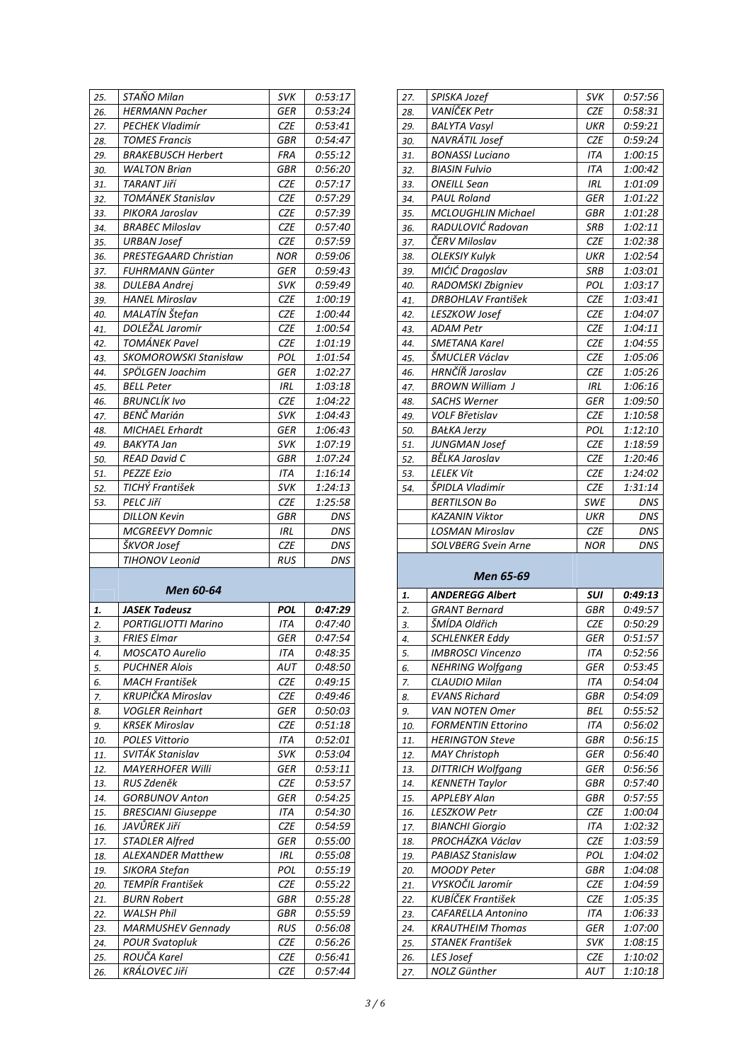| 25. | STAÑO Milan               | svĸ        | 0:53:17    |
|-----|---------------------------|------------|------------|
| 26. | <b>HERMANN Pacher</b>     | GER        | 0:53:24    |
| 27. | <b>PECHEK Vladimír</b>    | CZE        | 0:53:41    |
| 28. | <b>TOMES Francis</b>      | GBR        | 0:54:47    |
| 29. | <b>BRAKEBUSCH Herbert</b> | FRA        | 0:55:12    |
| 30. | <b>WALTON Brian</b>       | GBR        | 0:56:20    |
|     | <b>TARANT Jiří</b>        | CZE        | 0:57:17    |
| 31. |                           |            |            |
| 32. | <b>TOMÁNEK Stanislav</b>  | CZE        | 0:57:29    |
| 33. | PIKORA Jaroslav           | CZE        | 0:57:39    |
| 34. | <b>BRABEC Miloslav</b>    | CZE        | 0:57:40    |
| 35. | <b>URBAN Josef</b>        | CZE        | 0:57:59    |
| 36. | PRESTEGAARD Christian     | NOR        | 0:59:06    |
| 37. | <b>FUHRMANN Günter</b>    | GER        | 0:59:43    |
| 38. | <b>DULEBA Andrej</b>      | <b>SVK</b> | 0:59:49    |
| 39. | <b>HANEL Miroslav</b>     | CZE        | 1:00:19    |
| 40. | MALATÍN Štefan            | CZE        | 1:00:44    |
| 41. | DOLEŽAL Jaromír           | CZE        | 1:00:54    |
| 42. | TOMÁNEK Pavel             | CZE        | 1:01:19    |
| 43. | SKOMOROWSKI Stanisław     | POL        | 1:01:54    |
| 44. | SPÖLGEN Joachim           | GER        | 1:02:27    |
| 45. | <b>BELL Peter</b>         | IRL        | 1:03:18    |
| 46. | BRUNCLÍK Ivo              | CZE        | 1:04:22    |
| 47. | BENČ Marián               | <b>SVK</b> | 1:04:43    |
| 48. | MICHAEL Erhardt           | GER        | 1:06:43    |
| 49. | BAKYTA Jan                | <b>SVK</b> | 1:07:19    |
| 50. | <b>READ David C</b>       | GBR        | 1:07:24    |
| 51. | <b>PEZZE Ezio</b>         | ITA        | 1:16:14    |
| 52. | TICHÝ František           | svĸ        | 1:24:13    |
| 53. | PELC Jiří                 | CZE        | 1:25:58    |
|     | <b>DILLON Kevin</b>       | GBR        | DNS        |
|     | <b>MCGREEVY Domnic</b>    | IRL        | <b>DNS</b> |
|     | ŠKVOR Josef               | <b>CZE</b> | DNS        |
|     | TIHONOV Leonid            | RUS        | DNS        |
|     |                           |            |            |
|     | Men 60-64                 |            |            |
| 1.  | <b>JASEK Tadeusz</b>      | POL        | 0:47:29    |
| 2.  | PORTIGLIOTTI Marino       | ITA        | 0:47:40    |
| 3.  | <b>FRIES Elmar</b>        | GER        | 0:47:54    |
| 4.  | MOSCATO Aurelio           | ITA        | 0:48:35    |
| 5.  | PUCHNER Alois             | AUT        | 0:48:50    |
| 6.  | MACH František            | CZE        | 0:49:15    |
| 7.  | KRUPIČKA Miroslav         | CZE        | 0:49:46    |
| 8.  | <b>VOGLER Reinhart</b>    | GER        | 0:50:03    |
| 9.  | <b>KRSEK Miroslav</b>     | CZE        | 0:51:18    |
| 10. | POLES Vittorio            | ITA        | 0:52:01    |
| 11. | SVITÁK Stanislav          | <b>SVK</b> | 0:53:04    |
| 12. | MAYERHOFER Willi          | GER        | 0:53:11    |
| 13. | RUS Zdeněk                | CZE        | 0:53:57    |
| 14. | <b>GORBUNOV Anton</b>     | GER        | 0:54:25    |
| 15. | <b>BRESCIANI Giuseppe</b> | ITA        | 0:54:30    |
| 16. | JAVŮREK Jiří              | CZE        | 0:54:59    |
| 17. | <b>STADLER Alfred</b>     | GER        | 0:55:00    |
| 18. | <b>ALEXANDER Matthew</b>  | IRL        | 0:55:08    |
| 19. | SIKORA Stefan             | POL        | 0:55:19    |
| 20. | TEMPÍR František          | CZE        | 0:55:22    |
| 21. | <b>BURN Robert</b>        | GBR        | 0:55:28    |
| 22. | <b>WALSH Phil</b>         | GBR        | 0:55:59    |
| 23. | <b>MARMUSHEV Gennady</b>  | RUS        | 0:56:08    |
| 24. | <b>POUR Svatopluk</b>     | CZE        | 0:56:26    |
| 25. | ROUČA Karel               | CZE        | 0:56:41    |

| 27.        | SPISKA Jozef                                    | <b>SVK</b> | 0:57:56            |
|------------|-------------------------------------------------|------------|--------------------|
| 28.        | VANÍČEK Petr                                    | CZE        | 0:58:31            |
| 29.        | <b>BALYTA Vasyl</b>                             | UKR        | 0:59:21            |
| 30.        | NAVRÁTIL Josef                                  | CZE        | 0:59:24            |
| 31.        | <b>BONASSI Luciano</b>                          | ITA        | 1:00:15            |
| 32.        | <b>BIASIN Fulvio</b>                            | ITA        | 1:00:42            |
| 33.        | <b>ONEILL Sean</b>                              | IRL        | 1:01:09            |
| 34.        | <b>PAUL Roland</b>                              | <b>GER</b> | 1:01:22            |
| 35.        | <b>MCLOUGHLIN Michael</b>                       | GBR        | 1:01:28            |
| 36.        | RADULOVIĆ Radovan                               | SRB        | 1:02:11            |
| 37.        | ČERV Miloslav                                   | <b>CZE</b> | 1:02:38            |
| 38.        | <b>OLEKSIY Kulyk</b>                            | UKR        | 1:02:54            |
| 39.        | MIĆIĆ Dragoslav                                 | SRB        | 1:03:01            |
| 40.        | RADOMSKI Zbigniev                               | POL        | 1:03:17            |
| 41.        | <b>DRBOHLAV František</b>                       | <b>CZE</b> | 1:03:41            |
| 42.        | LESZKOW Josef                                   | CZE        | 1:04:07            |
| 43.        | ADAM Petr                                       | CZE        | 1:04:11            |
| 44.        | <b>SMETANA Karel</b>                            | CZE        | 1:04:55            |
| 45.        | ŠMUCLER Václav                                  | CZE        | 1:05:06            |
| 46.        | HRNČÍŘ Jaroslav                                 | <b>CZE</b> | 1:05:26            |
| 47.        | <b>BROWN William J</b>                          | IRL        | 1:06:16            |
| 48.        | <b>SACHS Werner</b>                             | GER        | 1:09:50            |
| 49.        | <b>VOLF Břetislav</b>                           | <b>CZE</b> | 1:10:58            |
|            |                                                 | POL        |                    |
| 50.<br>51. | <b>BAŁKA Jerzy</b><br><b>JUNGMAN Josef</b>      | CZE        | 1:12:10<br>1:18:59 |
|            | BĚLKA Jaroslav                                  |            |                    |
| 52.        |                                                 | CZE        | 1:20:46            |
| 53.        | <i>LELEK Vít</i><br>ŠPIDLA Vladimír             | CZE        | 1:24:02            |
| 54.        |                                                 | CZE        | 1:31:14            |
|            | <b>BERTILSON Bo</b>                             | <b>SWE</b> | DNS                |
|            | <b>KAZANIN Viktor</b><br><b>LOSMAN Miroslav</b> | <b>UKR</b> | <b>DNS</b>         |
|            |                                                 | CZE        | DNS                |
|            |                                                 |            |                    |
|            | <b>SOLVBERG Svein Arne</b>                      | <b>NOR</b> | <b>DNS</b>         |
|            | Men 65-69                                       |            |                    |
|            |                                                 |            |                    |
| 1.         | <i><b>ANDEREGG Albert</b></i>                   | SUI        | 0:49:13            |
| 2.         | <b>GRANT Bernard</b>                            | GBR        | 0:49:57            |
| 3.         | ŠMÍDA Oldřich                                   | <b>CZE</b> | 0:50:29            |
| 4.         | <b>SCHLENKER Eddy</b>                           | GER        | 0:51:57            |
| 5.         | <b>IMBROSCI Vincenzo</b>                        | <b>ITA</b> | 0:52:56            |
| 6.         | <b>NEHRING Wolfgang</b>                         | GER        | 0:53:45            |
| 7.         | CLAUDIO Milan                                   | ITA        | 0:54:04            |
| 8.         | <b>EVANS Richard</b>                            | <b>GBR</b> | 0:54:09            |
| 9.         | <b>VAN NOTEN Omer</b>                           | BEL        | 0:55:52            |
| 10.        | FORMENTIN Ettorino                              | ITA        | 0:56:02            |
| 11.        | <b>HERINGTON Steve</b>                          | <b>GBR</b> | 0:56:15            |
| 12.        | <b>MAY Christoph</b>                            | GER        | 0:56:40            |
| 13.        | <b>DITTRICH Wolfgang</b>                        | GER        | 0:56:56            |
| 14.        | <b>KENNETH Taylor</b>                           | GBR        | 0:57:40            |
| 15.        | APPLEBY Alan                                    | GBR        | 0:57:55            |
| 16.        | LESZKOW Petr                                    | CZE        | 1:00:04            |
| 17.        | <b>BIANCHI Giorgio</b>                          | ITA        | 1:02:32            |
| 18.        | PROCHÁZKA Václav                                | CZE        | 1:03:59            |
| 19.        | PABIASZ Stanislaw                               | POL        | 1:04:02            |
| 20.        | MOODY Peter                                     | <b>GBR</b> | 1:04:08            |
| 21.        | VYSKOČIL Jaromír                                | CZE        | 1:04:59            |
| 22.        | KUBÍČEK František                               | CZE        | 1:05:35            |
| 23.        | CAFARELLA Antonino                              | ITA        | 1:06:33            |
| 24.        | <b>KRAUTHEIM Thomas</b>                         | GER        | 1:07:00            |
| 25.        | <b>STANEK František</b>                         | <b>SVK</b> | 1:08:15            |
| 26.<br>27. | <b>LES Josef</b><br>NOLZ Günther                | CZE<br>AUT | 1:10:02<br>1:10:18 |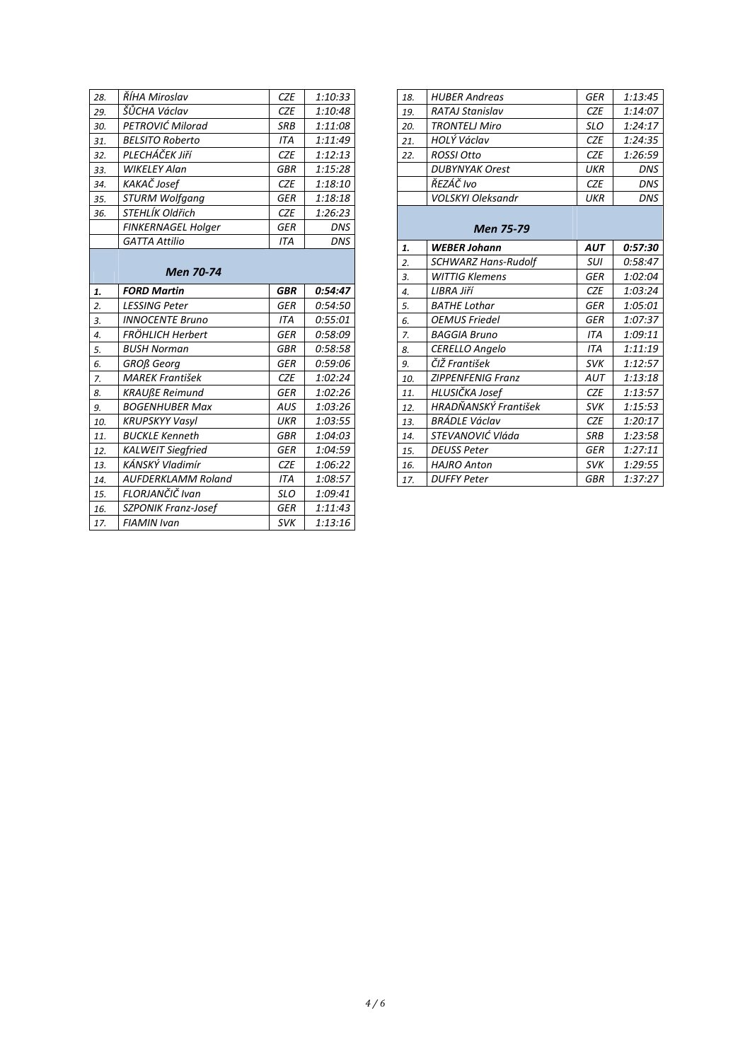| 28. | ŘÍHA Miroslav             | CZE        | 1:10:33    |
|-----|---------------------------|------------|------------|
| 29. | ŠŮCHA Václav              | <b>CZE</b> | 1:10:48    |
| 30. | PETROVIĆ Milorad          | SRB        | 1:11:08    |
| 31. | <b>BELSITO Roberto</b>    | <b>ITA</b> | 1:11:49    |
| 32. | PLECHÁČEK Jiří            | <b>CZE</b> | 1:12:13    |
| 33. | <b>WIKELEY Alan</b>       | GBR        | 1:15:28    |
| 34. | KAKAČ Josef               | <b>CZE</b> | 1:18:10    |
| 35. | <b>STURM Wolfgang</b>     | <b>GER</b> | 1:18:18    |
| 36. | STEHLÍK Oldřich           | <b>CZE</b> | 1:26:23    |
|     | <b>FINKERNAGEL Holger</b> | GER        | DNS        |
|     | <b>GATTA Attilio</b>      | <b>ITA</b> | <b>DNS</b> |
|     | <b>Men 70-74</b>          |            |            |
| 1.  | <b>FORD Martin</b>        | <b>GBR</b> | 0:54:47    |
| 2.  | <b>LESSING Peter</b>      | <b>GER</b> | 0:54:50    |
| 3.  | <b>INNOCENTE Bruno</b>    | <b>ITA</b> | 0:55:01    |
| 4.  | FRÖHLICH Herbert          | <b>GER</b> | 0:58:09    |
| 5.  | <b>BUSH Norman</b>        | <b>GBR</b> | 0:58:58    |
| 6.  | <b>GROß</b> Georg         | <b>GER</b> | 0:59:06    |
| 7.  | <b>MAREK František</b>    | <b>CZE</b> | 1:02:24    |
| 8.  | <b>KRAUßE Reimund</b>     | <b>GER</b> | 1:02:26    |
| 9.  | <b>BOGENHUBER Max</b>     | <b>AUS</b> | 1:03:26    |
| 10. | <b>KRUPSKYY Vasyl</b>     | <b>UKR</b> | 1:03:55    |
| 11. | <b>BUCKLE Kenneth</b>     | <b>GBR</b> | 1:04:03    |
| 12. | KALWEIT Siegfried         | GER        | 1:04:59    |
| 13. | KÁNSKÝ Vladimír           | <b>CZE</b> | 1:06:22    |
| 14. | <b>AUFDERKLAMM Roland</b> | <b>ITA</b> | 1:08:57    |
| 15. | FLORJANČIČ Ivan           | <b>SLO</b> | 1:09:41    |
| 16. | SZPONIK Franz-Josef       | <b>GER</b> | 1:11:43    |
| 17. | <b>FIAMIN Ivan</b>        | <b>SVK</b> | 1:13:16    |

| 18. | <b>HUBER Andreas</b>       | <b>GER</b> | 1:13:45    |
|-----|----------------------------|------------|------------|
| 19. | <b>RATAJ Stanislav</b>     | <b>CZE</b> | 1:14:07    |
| 20. | <b>TRONTELJ Miro</b>       | <b>SLO</b> | 1:24:17    |
| 21. | HOLÝ Václav                | <b>CZE</b> | 1:24:35    |
| 22. | ROSSI Otto                 | <b>CZE</b> | 1:26:59    |
|     | <b>DUBYNYAK Orest</b>      | UKR        | <b>DNS</b> |
|     | ŘEZÁČ Ivo                  | <b>CZE</b> | <b>DNS</b> |
|     | <b>VOLSKYI Oleksandr</b>   | UKR        | <b>DNS</b> |
|     | <b>Men 75-79</b>           |            |            |
| 1.  | <b>WEBER Johann</b>        | AUT        | 0:57:30    |
| 2.  | <b>SCHWARZ Hans-Rudolf</b> | <b>SUI</b> | 0:58:47    |
| 3.  | <b>WITTIG Klemens</b>      | GER        | 1:02:04    |
| 4.  | LIBRA Jiří                 | <b>CZE</b> | 1:03:24    |
| 5.  | <b>BATHE Lothar</b>        | <b>GER</b> | 1:05:01    |
| 6.  | <b>OEMUS Friedel</b>       | GER        | 1:07:37    |
| 7.  | <b>BAGGIA Bruno</b>        | <b>ITA</b> | 1:09:11    |
| 8.  | <b>CERELLO Angelo</b>      | <b>ITA</b> | 1:11:19    |
| 9.  | ČIŽ František              | <b>SVK</b> | 1:12:57    |
| 10. | <b>ZIPPENFENIG Franz</b>   | AUT        | 1:13:18    |
| 11. | HLUSIČKA Josef             | <b>CZE</b> | 1:13:57    |
| 12. | HRADŇANSKÝ František       | <b>SVK</b> | 1:15:53    |
|     |                            |            |            |
| 13. | BRÁDLE Václav              | <b>CZE</b> | 1:20:17    |
| 14. | STEVANOVIĆ Vláda           | <b>SRB</b> | 1:23:58    |
| 15. | DEUSS Peter                | <b>GER</b> | 1:27:11    |
| 16. | <b>HAJRO Anton</b>         | <b>SVK</b> | 1:29:55    |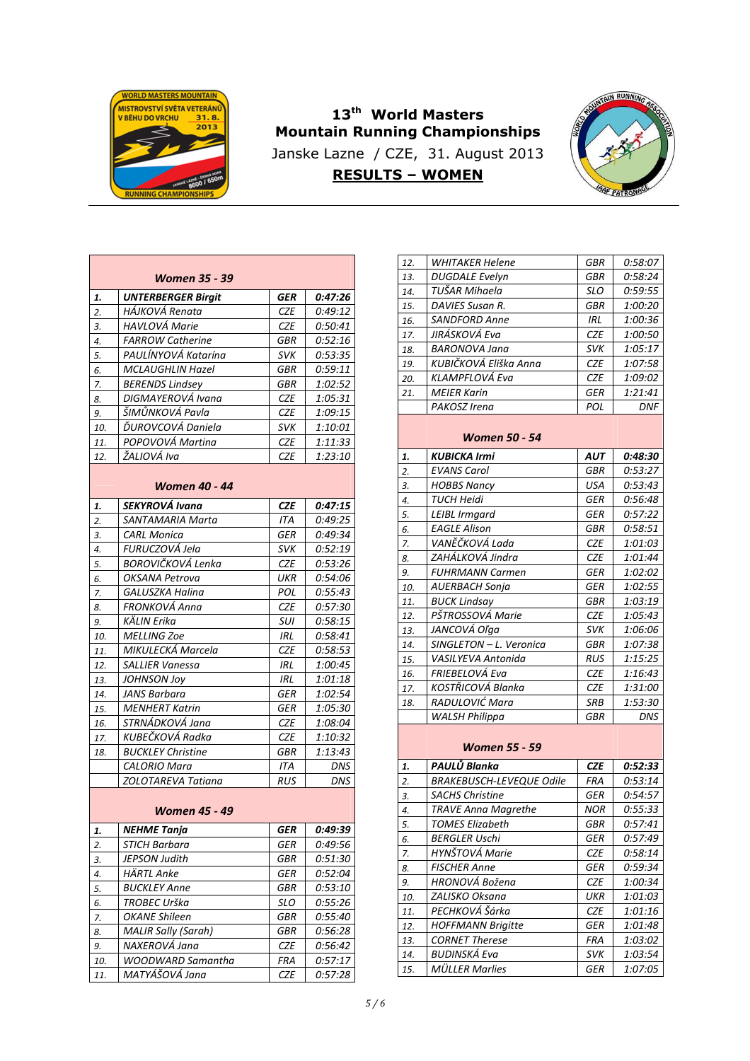

## **13th World Masters Mountain Running Championships**  Janske Lazne / CZE, 31. August 2013 **RESULTS – WOMEN**



|                  | Women 35 - 39              |            |         |
|------------------|----------------------------|------------|---------|
| 1.               | <b>UNTERBERGER Birgit</b>  | GER        | 0:47:26 |
| $\overline{2}$ . | HÁJKOVÁ Renata             | <b>CZE</b> | 0:49:12 |
| 3.               | HAVLOVÁ Marie              | CZE        | 0:50:41 |
| 4.               | <b>FARROW Catherine</b>    | GBR        | 0:52:16 |
| 5.               | PAULINYOVA Katarína        | svĸ        | 0:53:35 |
| 6.               | MCLAUGHLIN Hazel           | GBR        | 0:59:11 |
| 7.               | <b>BERENDS Lindsey</b>     | GBR        | 1:02:52 |
| 8.               | DIGMAYEROVÁ Ivana          | <b>CZE</b> | 1:05:31 |
| 9.               | ŠIMŬNKOVÁ Pavla            | CZE        | 1:09:15 |
| 10.              | ĎUROVCOVÁ Daniela          | svĸ        | 1:10:01 |
| 11.              | POPOVOVÁ Martina           | CZE        | 1:11:33 |
| 12.              | ŽALIOVÁ Iva                | CZE        | 1:23:10 |
|                  | Women 40 - 44              |            |         |
| 1.               | <b>SEKYROVÁ Ivana</b>      | CZE        | 0:47:15 |
| 2.               | SANTAMARIA Marta           | ITA        | 0:49:25 |
| 3.               | <b>CARL Monica</b>         | GER        | 0:49:34 |
| 4.               | FURUCZOVÁ Jela             | <b>SVK</b> | 0:52:19 |
| 5.               | <b>BOROVIČKOVÁ Lenka</b>   | <b>CZE</b> | 0:53:26 |
| 6.               | OKSANA Petrova             | UKR        | 0:54:06 |
| 7.               | GALUSZKA Halina            | POL        | 0:55:43 |
| 8.               | FRONKOVÁ Anna              | CZE        | 0:57:30 |
| 9.               | <b>KÄLIN Erika</b>         | SUI        | 0:58:15 |
| 10.              | <b>MELLING Zoe</b>         | IRL        | 0:58:41 |
| 11.              | MIKULECKA Marcela          | CZE        | 0:58:53 |
| 12.              | SALLIER Vanessa            | IRL        | 1:00:45 |
| 13.              | JOHNSON Joy                | IRL        | 1:01:18 |
| 14.              | JANS Barbara               | GER        | 1:02:54 |
| 15.              | <b>MENHERT Katrin</b>      | GER        | 1:05:30 |
| 16.              | STRNÁDKOVÁ Jana            | CZE        | 1:08:04 |
| 17.              | KUBEČKOVÁ Radka            | CZE        | 1:10:32 |
| 18.              | <b>BUCKLEY Christine</b>   | GBR        | 1:13:43 |
|                  | CALORIO Mara               | ITA        | DNS     |
|                  | ZOLOTAREVA Tatiana         | RUS        | DNS     |
|                  | <b>Women 45 - 49</b>       |            |         |
| 1.               | NEHME Tanja                | GER        | 0:49:39 |
| 2.               | <b>STICH Barbara</b>       | GER        | 0:49:56 |
| 3.               | JEPSON Judith              | GBR        | 0:51:30 |
| 4.               | HÄRTL Anke                 | GER        | 0:52:04 |
| 5.               | <b>BUCKLEY Anne</b>        | GBR        | 0:53:10 |
| 6.               | TROBEC Urška               | SLO        | 0:55:26 |
| 7.               | <b>OKANE Shileen</b>       | GBR        | 0:55:40 |
| 8.               | <b>MALIR Sally (Sarah)</b> | GBR        | 0:56:28 |
| 9.               | NAXEROVÁ Jana              | CZE        | 0:56:42 |
| 10.              | WOODWARD Samantha          | FRA        | 0:57:17 |
| 11.              | MATYÁŠOVÁ Jana             | CZE        | 0:57:28 |

| 12. | <b>WHITAKER Helene</b>          | GBR        | 0:58:07 |
|-----|---------------------------------|------------|---------|
| 13. | <b>DUGDALE Evelyn</b>           | GBR        | 0:58:24 |
| 14. | TUŠAR Mihaela                   | SLO        | 0:59:55 |
| 15. | DAVIES Susan R.                 | GBR        | 1:00:20 |
| 16. | <b>SANDFORD Anne</b>            | IRL        | 1:00:36 |
| 17. | JIRÁSKOVÁ Eva                   | <b>CZE</b> | 1:00:50 |
| 18. | <b>BARONOVA Jana</b>            | svĸ        | 1:05:17 |
| 19. | KUBIČKOVÁ Eliška Anna           | <b>CZE</b> | 1:07:58 |
| 20. | KLAMPFLOVÁ Eva                  | CZE        | 1:09:02 |
| 21. | <b>MEIER Karin</b>              | GER        | 1:21:41 |
|     | PAKOSZ Irena                    | POL        | DNF     |
|     | Women 50 - 54                   |            |         |
| 1.  | <b>KUBICKA Irmi</b>             | AUT        | 0:48:30 |
| 2.  | <b>EVANS Carol</b>              | GBR        | 0:53:27 |
| 3.  | <b>HOBBS Nancy</b>              | USA        | 0:53:43 |
| 4.  | TUCH Heidi                      | <b>GER</b> | 0:56:48 |
| 5.  | LEIBL Irmgard                   | GER        | 0:57:22 |
| 6.  | <b>EAGLE Alison</b>             | GBR        | 0:58:51 |
| 7.  | VANĚČKOVÁ Lada                  | CZE        | 1:01:03 |
| 8.  | ZAHÁLKOVÁ Jindra                | CZE        | 1:01:44 |
| 9.  | <b>FUHRMANN Carmen</b>          | GER        | 1:02:02 |
| 10. | <b>AUERBACH Sonja</b>           | GER        | 1:02:55 |
| 11. | <b>BUCK Lindsay</b>             | GBR        | 1:03:19 |
| 12. | PŠTROSSOVÁ Marie                | CZE        | 1:05:43 |
| 13. | JANCOVÁ Oľga                    | svĸ        | 1:06:06 |
| 14. | SINGLETON - L. Veronica         | <b>GBR</b> | 1:07:38 |
| 15. | VASILYEVA Antonida              | RUS        | 1:15:25 |
| 16. | FRIEBELOVA Eva                  | CZE        | 1:16:43 |
| 17. | KOSTŘICOVÁ Blanka               | CZE        | 1:31:00 |
| 18. | RADULOVIĆ Mara                  | SRB        | 1:53:30 |
|     | <b>WALSH Philippa</b>           | GBR        | DNS     |
|     | Women 55 - 59                   |            |         |
| 1.  | PAULŮ Blanka                    | <b>CZE</b> | 0:52:33 |
| 2.  | <b>BRAKEBUSCH-LEVEQUE Odile</b> | FRA        | 0:53:14 |
| 3.  | <b>SACHS Christine</b>          | GER        | 0:54:57 |
| 4.  | TRAVE Anna Magrethe             | NOR        | 0:55:33 |
| 5.  | <b>TOMES Elizabeth</b>          | <b>GBR</b> | 0:57:41 |
| 6.  | <b>BERGLER Uschi</b>            | GER        | 0:57:49 |
| 7.  | HYNŠTOVÁ Marie                  | CZE        | 0:58:14 |
| 8.  | <b>FISCHER Anne</b>             | GER        | 0:59:34 |
| 9.  | HRONOVÁ Božena                  | CZE        | 1:00:34 |
| 10. | ZALISKO Oksana                  | UKR        | 1:01:03 |
| 11. | PECHKOVÁ Šárka                  | CZE        | 1:01:16 |
| 12. | <b>HOFFMANN Brigitte</b>        | GER        | 1:01:48 |
| 13. | <b>CORNET Therese</b>           | FRA        | 1:03:02 |
| 14. | BUDINSKÁ Eva                    | <b>SVK</b> | 1:03:54 |
|     |                                 |            |         |